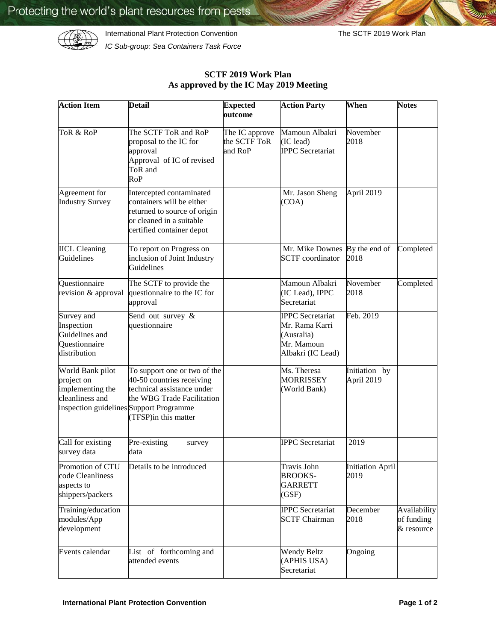International Plant Protection Convention **The SCTF 2019 Work Plan** 



*IC Sub-group: Sea Containers Task Force*

| <b>Action Item</b>                                                          | <b>Detail</b>                                                                                                                                                                            | <b>Expected</b><br>outcome                | <b>Action Party</b>                                                                        | When                            | <b>Notes</b>                             |
|-----------------------------------------------------------------------------|------------------------------------------------------------------------------------------------------------------------------------------------------------------------------------------|-------------------------------------------|--------------------------------------------------------------------------------------------|---------------------------------|------------------------------------------|
| ToR & RoP                                                                   | The SCTF ToR and RoP<br>proposal to the IC for<br>approval<br>Approval of IC of revised<br>ToR and<br><b>RoP</b>                                                                         | The IC approve<br>the SCTF ToR<br>and RoP | Mamoun Albakri<br>(IC lead)<br><b>IPPC</b> Secretariat                                     | November<br>2018                |                                          |
| Agreement for<br><b>Industry Survey</b>                                     | Intercepted contaminated<br>containers will be either<br>returned to source of origin<br>or cleaned in a suitable<br>certified container depot                                           |                                           | Mr. Jason Sheng<br>(COA)                                                                   | April 2019                      |                                          |
| <b>IICL Cleaning</b><br>Guidelines                                          | To report on Progress on<br>inclusion of Joint Industry<br>Guidelines                                                                                                                    |                                           | Mr. Mike Downes<br><b>SCTF</b> coordinator                                                 | By the end of<br>2018           | Completed                                |
| Questionnaire<br>revision & approval                                        | The SCTF to provide the<br>questionnaire to the IC for<br>approval                                                                                                                       |                                           | Mamoun Albakri<br>(IC Lead), IPPC<br>Secretariat                                           | November<br>2018                | Completed                                |
| Survey and<br>Inspection<br>Guidelines and<br>Questionnaire<br>distribution | Send out survey &<br>questionnaire                                                                                                                                                       |                                           | <b>IPPC</b> Secretariat<br>Mr. Rama Karri<br>(Ausralia)<br>Mr. Mamoun<br>Albakri (IC Lead) | Feb. 2019                       |                                          |
| World Bank pilot<br>project on<br>implementing the<br>cleanliness and       | To support one or two of the<br>40-50 countries receiving<br>technical assistance under<br>the WBG Trade Facilitation<br>inspection guidelines Support Programme<br>(TFSP)in this matter |                                           | Ms. Theresa<br><b>MORRISSEY</b><br>(World Bank)                                            | Initiation by<br>April 2019     |                                          |
| Call for existing<br>survey data                                            | Pre-existing<br>survey<br>data                                                                                                                                                           |                                           | <b>IPPC</b> Secretariat                                                                    | 2019                            |                                          |
| Promotion of CTU<br>code Cleanliness<br>aspects to<br>shippers/packers      | Details to be introduced                                                                                                                                                                 |                                           | Travis John<br><b>BROOKS-</b><br><b>GARRETT</b><br>(GSF)                                   | <b>Initiation April</b><br>2019 |                                          |
| Training/education<br>modules/App<br>development                            |                                                                                                                                                                                          |                                           | <b>IPPC</b> Secretariat<br><b>SCTF Chairman</b>                                            | December<br>2018                | Availability<br>of funding<br>& resource |
| Events calendar                                                             | List of forthcoming and<br>attended events                                                                                                                                               |                                           | <b>Wendy Beltz</b><br>(APHIS USA)<br>Secretariat                                           | Ongoing                         |                                          |

## **SCTF 2019 Work Plan As approved by the IC May 2019 Meeting**